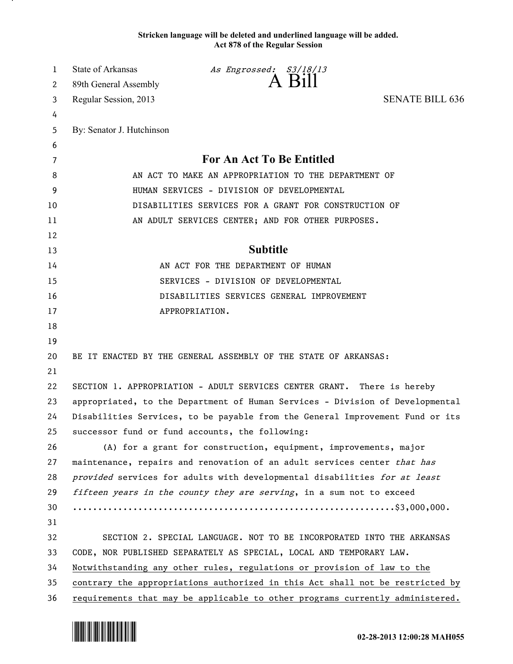**Stricken language will be deleted and underlined language will be added. Act 878 of the Regular Session**

| 1  | State of Arkansas                                                             | As Engrossed: S3/18/13                                                    |                        |
|----|-------------------------------------------------------------------------------|---------------------------------------------------------------------------|------------------------|
| 2  | 89th General Assembly                                                         | A Bill                                                                    |                        |
| 3  | Regular Session, 2013                                                         |                                                                           | <b>SENATE BILL 636</b> |
| 4  |                                                                               |                                                                           |                        |
| 5  | By: Senator J. Hutchinson                                                     |                                                                           |                        |
| 6  |                                                                               |                                                                           |                        |
| 7  | For An Act To Be Entitled                                                     |                                                                           |                        |
| 8  | AN ACT TO MAKE AN APPROPRIATION TO THE DEPARTMENT OF                          |                                                                           |                        |
| 9  | HUMAN SERVICES - DIVISION OF DEVELOPMENTAL                                    |                                                                           |                        |
| 10 | DISABILITIES SERVICES FOR A GRANT FOR CONSTRUCTION OF                         |                                                                           |                        |
| 11 | AN ADULT SERVICES CENTER; AND FOR OTHER PURPOSES.                             |                                                                           |                        |
| 12 |                                                                               |                                                                           |                        |
| 13 | <b>Subtitle</b>                                                               |                                                                           |                        |
| 14 | AN ACT FOR THE DEPARTMENT OF HUMAN                                            |                                                                           |                        |
| 15 | SERVICES - DIVISION OF DEVELOPMENTAL                                          |                                                                           |                        |
| 16 | DISABILITIES SERVICES GENERAL IMPROVEMENT                                     |                                                                           |                        |
| 17 | APPROPRIATION.                                                                |                                                                           |                        |
| 18 |                                                                               |                                                                           |                        |
| 19 |                                                                               |                                                                           |                        |
| 20 | BE IT ENACTED BY THE GENERAL ASSEMBLY OF THE STATE OF ARKANSAS:               |                                                                           |                        |
| 21 |                                                                               |                                                                           |                        |
| 22 |                                                                               | SECTION 1. APPROPRIATION - ADULT SERVICES CENTER GRANT. There is hereby   |                        |
| 23 | appropriated, to the Department of Human Services - Division of Developmental |                                                                           |                        |
| 24 | Disabilities Services, to be payable from the General Improvement Fund or its |                                                                           |                        |
| 25 |                                                                               | successor fund or fund accounts, the following:                           |                        |
| 26 |                                                                               | (A) for a grant for construction, equipment, improvements, major          |                        |
| 27 | maintenance, repairs and renovation of an adult services center that has      |                                                                           |                        |
| 28 |                                                                               | provided services for adults with developmental disabilities for at least |                        |
| 29 | fifteen years in the county they are serving, in a sum not to exceed          |                                                                           |                        |
| 30 |                                                                               |                                                                           |                        |
| 31 |                                                                               |                                                                           |                        |
| 32 | SECTION 2. SPECIAL LANGUAGE. NOT TO BE INCORPORATED INTO THE ARKANSAS         |                                                                           |                        |
| 33 | CODE, NOR PUBLISHED SEPARATELY AS SPECIAL, LOCAL AND TEMPORARY LAW.           |                                                                           |                        |
| 34 | Notwithstanding any other rules, regulations or provision of law to the       |                                                                           |                        |
| 35 | contrary the appropriations authorized in this Act shall not be restricted by |                                                                           |                        |
| 36 | requirements that may be applicable to other programs currently administered. |                                                                           |                        |

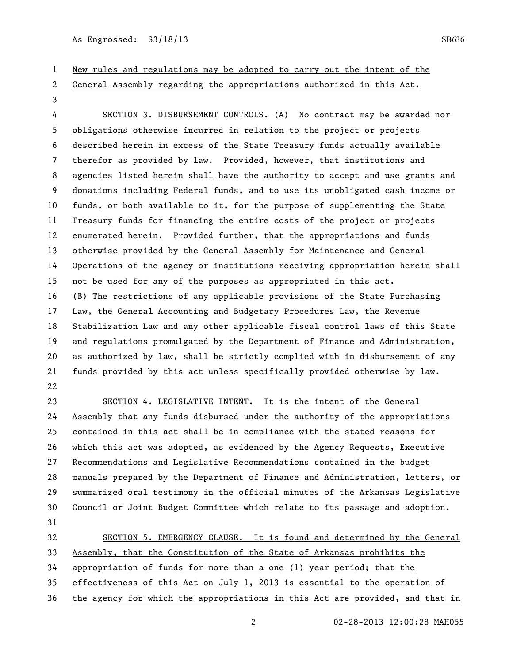As Engrossed: S3/18/13 SB636

## New rules and regulations may be adopted to carry out the intent of the

General Assembly regarding the appropriations authorized in this Act.

 SECTION 3. DISBURSEMENT CONTROLS. (A) No contract may be awarded nor obligations otherwise incurred in relation to the project or projects described herein in excess of the State Treasury funds actually available therefor as provided by law. Provided, however, that institutions and agencies listed herein shall have the authority to accept and use grants and donations including Federal funds, and to use its unobligated cash income or funds, or both available to it, for the purpose of supplementing the State Treasury funds for financing the entire costs of the project or projects enumerated herein. Provided further, that the appropriations and funds otherwise provided by the General Assembly for Maintenance and General Operations of the agency or institutions receiving appropriation herein shall not be used for any of the purposes as appropriated in this act. (B) The restrictions of any applicable provisions of the State Purchasing Law, the General Accounting and Budgetary Procedures Law, the Revenue Stabilization Law and any other applicable fiscal control laws of this State and regulations promulgated by the Department of Finance and Administration, as authorized by law, shall be strictly complied with in disbursement of any funds provided by this act unless specifically provided otherwise by law. 

 SECTION 4. LEGISLATIVE INTENT. It is the intent of the General Assembly that any funds disbursed under the authority of the appropriations contained in this act shall be in compliance with the stated reasons for which this act was adopted, as evidenced by the Agency Requests, Executive Recommendations and Legislative Recommendations contained in the budget manuals prepared by the Department of Finance and Administration, letters, or summarized oral testimony in the official minutes of the Arkansas Legislative Council or Joint Budget Committee which relate to its passage and adoption. 

32 SECTION 5. EMERGENCY CLAUSE. It is found and determined by the General Assembly, that the Constitution of the State of Arkansas prohibits the appropriation of funds for more than a one (1) year period; that the effectiveness of this Act on July 1, 2013 is essential to the operation of

the agency for which the appropriations in this Act are provided, and that in

02-28-2013 12:00:28 MAH055